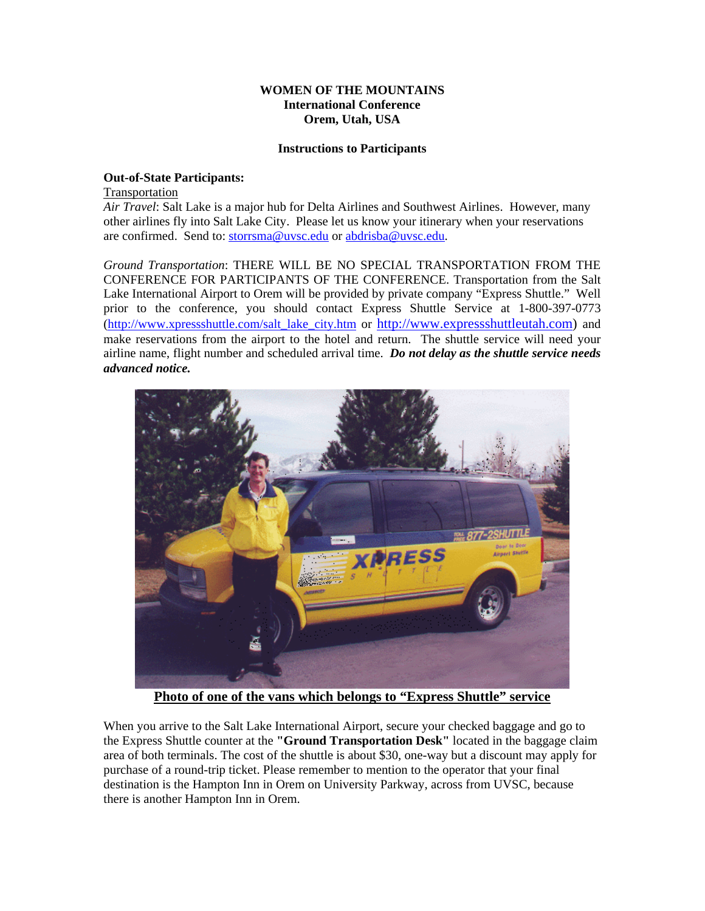### **WOMEN OF THE MOUNTAINS International Conference Orem, Utah, USA**

#### **Instructions to Participants**

## **Out-of-State Participants:**

Transportation

*Air Travel*: Salt Lake is a major hub for Delta Airlines and Southwest Airlines. However, many other airlines fly into Salt Lake City. Please let us know your itinerary when your reservations are confirmed. Send to: storrsma@uvsc.edu or abdrisba@uvsc.edu.

*Ground Transportation*: THERE WILL BE NO SPECIAL TRANSPORTATION FROM THE CONFERENCE FOR PARTICIPANTS OF THE CONFERENCE. Transportation from the Salt Lake International Airport to Orem will be provided by private company "Express Shuttle." Well prior to the conference, you should contact Express Shuttle Service at 1-800-397-0773 (http://www.xpressshuttle.com/salt\_lake\_city.htm or http://www.expressshuttleutah.com) and make reservations from the airport to the hotel and return. The shuttle service will need your airline name, flight number and scheduled arrival time. *Do not delay as the shuttle service needs advanced notice.* 



**Photo of one of the vans which belongs to "Express Shuttle" service**

When you arrive to the Salt Lake International Airport, secure your checked baggage and go to the Express Shuttle counter at the **"Ground Transportation Desk"** located in the baggage claim area of both terminals. The cost of the shuttle is about \$30, one-way but a discount may apply for purchase of a round-trip ticket. Please remember to mention to the operator that your final destination is the Hampton Inn in Orem on University Parkway, across from UVSC, because there is another Hampton Inn in Orem.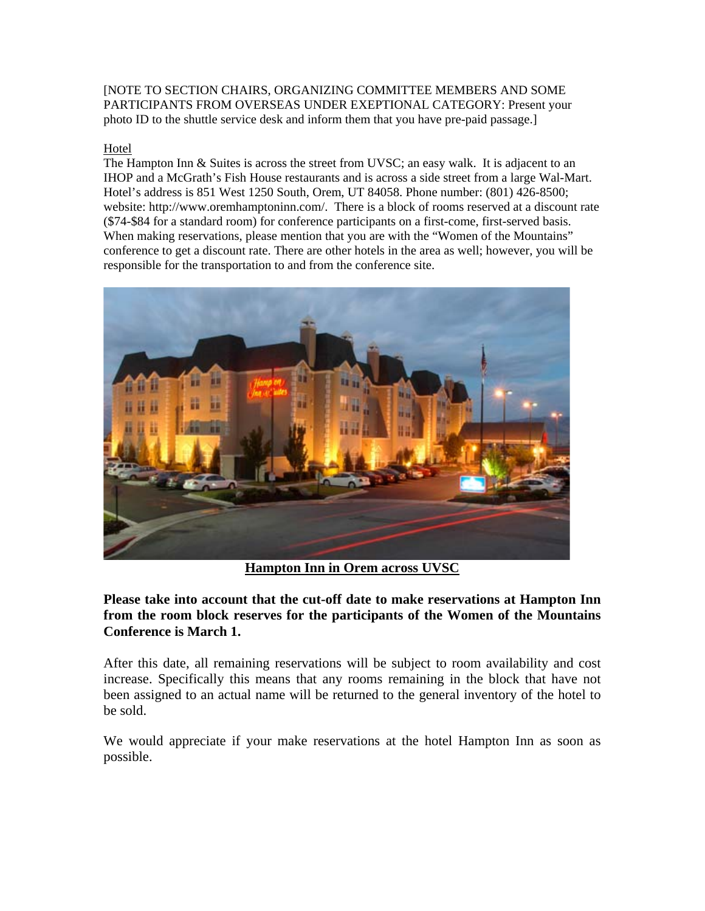[NOTE TO SECTION CHAIRS, ORGANIZING COMMITTEE MEMBERS AND SOME PARTICIPANTS FROM OVERSEAS UNDER EXEPTIONAL CATEGORY: Present your photo ID to the shuttle service desk and inform them that you have pre-paid passage.]

# Hotel

The Hampton Inn & Suites is across the street from UVSC; an easy walk. It is adjacent to an IHOP and a McGrath's Fish House restaurants and is across a side street from a large Wal-Mart. Hotel's address is 851 West 1250 South, Orem, UT 84058. Phone number: (801) 426-8500; website: http://www.oremhamptoninn.com/. There is a block of rooms reserved at a discount rate (\$74-\$84 for a standard room) for conference participants on a first-come, first-served basis. When making reservations, please mention that you are with the "Women of the Mountains" conference to get a discount rate. There are other hotels in the area as well; however, you will be responsible for the transportation to and from the conference site.



**Hampton Inn in Orem across UVSC**

**Please take into account that the cut-off date to make reservations at Hampton Inn from the room block reserves for the participants of the Women of the Mountains Conference is March 1.** 

After this date, all remaining reservations will be subject to room availability and cost increase. Specifically this means that any rooms remaining in the block that have not been assigned to an actual name will be returned to the general inventory of the hotel to be sold.

We would appreciate if your make reservations at the hotel Hampton Inn as soon as possible.